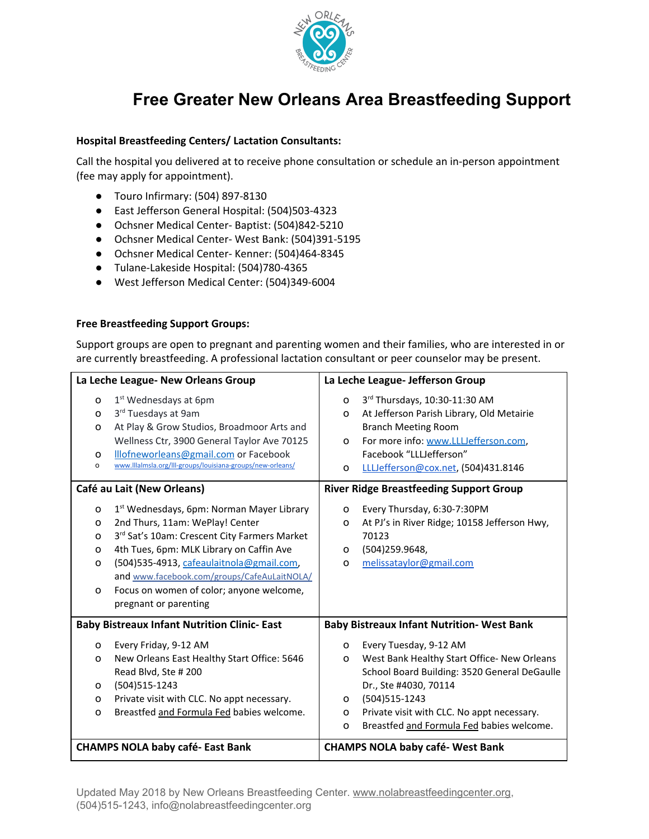

# **Free Greater New Orleans Area Breastfeeding Support**

# Hospital Breastfeeding Centers/ Lactation Consultants:

Call the hospital you delivered at to receive phone consultation or schedule an in-person appointment (fee may apply for appointment).

- Touro Infirmary: (504) 897-8130
- East Jefferson General Hospital: (504)503-4323
- Ochsner Medical Center- Baptist: (504)842-5210
- Ochsner Medical Center- West Bank: (504)391-5195
- Ochsner Medical Center- Kenner: (504)464-8345
- Tulane-Lakeside Hospital: (504)780-4365
- West Jefferson Medical Center: (504)349-6004

# Free Breastfeeding Support Groups:

Support groups are open to pregnant and parenting women and their families, who are interested in or are currently breastfeeding. A professional lactation consultant or peer counselor may be present.

| La Leche League- New Orleans Group                 |                                                                                                                                                                                                                                                                                                                                                      | La Leche League- Jefferson Group                  |                                                                                                                                                                                                                                                             |
|----------------------------------------------------|------------------------------------------------------------------------------------------------------------------------------------------------------------------------------------------------------------------------------------------------------------------------------------------------------------------------------------------------------|---------------------------------------------------|-------------------------------------------------------------------------------------------------------------------------------------------------------------------------------------------------------------------------------------------------------------|
| o<br>o<br>o<br>O<br>o                              | 1 <sup>st</sup> Wednesdays at 6pm<br>3rd Tuesdays at 9am<br>At Play & Grow Studios, Broadmoor Arts and<br>Wellness Ctr, 3900 General Taylor Ave 70125<br>Illofneworleans@gmail.com or Facebook<br>www.lllalmsla.org/III-groups/louisiana-groups/new-orleans/                                                                                         | o<br>$\Omega$<br>$\Omega$<br>o                    | 3rd Thursdays, 10:30-11:30 AM<br>At Jefferson Parish Library, Old Metairie<br><b>Branch Meeting Room</b><br>For more info: www.LLLJefferson.com,<br>Facebook "LLLJefferson"<br>LLUefferson@cox.net, (504)431.8146                                           |
| Café au Lait (New Orleans)                         |                                                                                                                                                                                                                                                                                                                                                      | <b>River Ridge Breastfeeding Support Group</b>    |                                                                                                                                                                                                                                                             |
| o<br>o<br>o<br>O<br>$\Omega$<br>o                  | 1 <sup>st</sup> Wednesdays, 6pm: Norman Mayer Library<br>2nd Thurs, 11am: WePlay! Center<br>3rd Sat's 10am: Crescent City Farmers Market<br>4th Tues, 6pm: MLK Library on Caffin Ave<br>(504)535-4913, cafeaulaitnola@gmail.com,<br>and www.facebook.com/groups/CafeAuLaitNOLA/<br>Focus on women of color; anyone welcome,<br>pregnant or parenting | $\circ$<br>o<br>$\Omega$<br>$\Omega$              | Every Thursday, 6:30-7:30PM<br>At PJ's in River Ridge; 10158 Jefferson Hwy,<br>70123<br>(504)259.9648,<br>melissataylor@gmail.com                                                                                                                           |
| <b>Baby Bistreaux Infant Nutrition Clinic-East</b> |                                                                                                                                                                                                                                                                                                                                                      | <b>Baby Bistreaux Infant Nutrition- West Bank</b> |                                                                                                                                                                                                                                                             |
| 0<br>o<br>0<br>o<br>o                              | Every Friday, 9-12 AM<br>New Orleans East Healthy Start Office: 5646<br>Read Blvd, Ste #200<br>(504) 515-1243<br>Private visit with CLC. No appt necessary.<br>Breastfed and Formula Fed babies welcome.                                                                                                                                             | $\circ$<br>o<br>O<br>$\circ$<br>o                 | Every Tuesday, 9-12 AM<br>West Bank Healthy Start Office- New Orleans<br>School Board Building: 3520 General DeGaulle<br>Dr., Ste #4030, 70114<br>(504) 515-1243<br>Private visit with CLC. No appt necessary.<br>Breastfed and Formula Fed babies welcome. |
| <b>CHAMPS NOLA baby café-East Bank</b>             |                                                                                                                                                                                                                                                                                                                                                      |                                                   | <b>CHAMPS NOLA baby café- West Bank</b>                                                                                                                                                                                                                     |